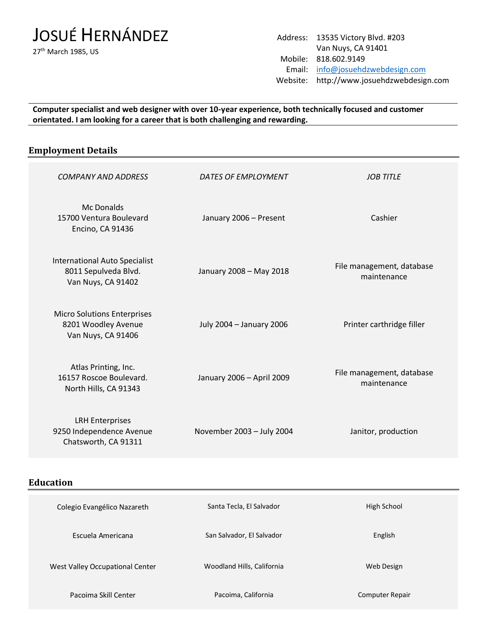# JOSUÉ HERNÁNDEZ

27<sup>th</sup> March 1985, US

Address: 13535 Victory Blvd. #203 Van Nuys, CA 91401 Mobile: 818.602.9149 Email: [info@josuehdzwebdesign.com](mailto:info@josuehdzwebdesign.com) Website: http://www.josuehdzwebdesign.com

**Computer specialist and web designer with over 10-year experience, both technically focused and customer orientated. I am looking for a career that is both challenging and rewarding.** 

### **Employment Details**

| DATES OF EMPLOYMENT       | <b>JOB TITLE</b>                         |
|---------------------------|------------------------------------------|
| January 2006 - Present    | Cashier                                  |
| January 2008 - May 2018   | File management, database<br>maintenance |
| July 2004 - January 2006  | Printer carthridge filler                |
| January 2006 - April 2009 | File management, database<br>maintenance |
| November 2003 - July 2004 | Janitor, production                      |
|                           |                                          |

**Education**

| Colegio Evangélico Nazareth     | Santa Tecla, El Salvador   | High School     |
|---------------------------------|----------------------------|-----------------|
| Escuela Americana               | San Salvador, El Salvador  | English         |
| West Valley Occupational Center | Woodland Hills, California | Web Design      |
| Pacoima Skill Center            | Pacoima, California        | Computer Repair |